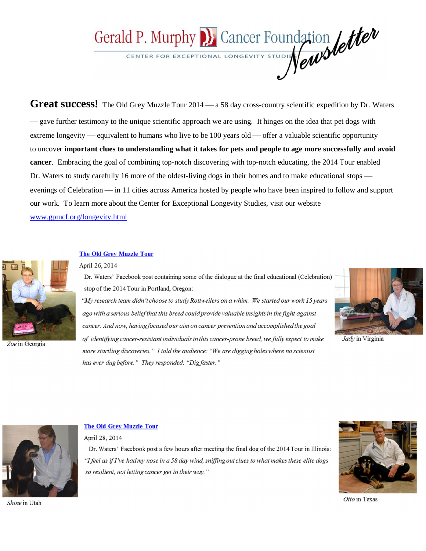

**Great success!** The Old Grey Muzzle Tour  $2014 - a$  58 day cross-country scientific expedition by Dr. Waters — gave further testimony to the unique scientific approach we are using. It hinges on the idea that pet dogs with extreme longevity — equivalent to humans who live to be 100 years old — offer a valuable scientific opportunity to uncover important clues to understanding what it takes for pets and people to age more successfully and avoid cancer. Embracing the goal of combining top-notch discovering with top-notch educating, the 2014 Tour enabled Dr. Waters to study carefully 16 more of the oldest-living dogs in their homes and to make educational stops evenings of Celebration — in 11 cities across America hosted by people who have been inspired to follow and support our work. To learn more about the Center for Exceptional Longevity Studies, visit our website www.gpmcf.org/longevity.html



Zoe in Georgia

## **The Old Grey Muzzle Tour**

April 26, 2014

Dr. Waters' Facebook post containing some of the dialogue at the final educational (Celebration) stop of the 2014 Tour in Portland, Oregon:

"My research team didn't choose to study Rottweilers on a whim. We started our work 15 years ago with a serious belief that this breed could provide valuable insights in the fight against cancer. And now, having focused our aim on cancer prevention and accomplished the goal of identifying cancer-resistant individuals in this cancer-prone breed, we fully expect to make more startling discoveries." I told the audience: "We are digging holes where no scientist has ever dug before." They responded: "Dig faster."



Jady in Virginia



**The Old Grey Muzzle Tour** 

April 28, 2014

Dr. Waters' Facebook post a few hours after meeting the final dog of the 2014 Tour in Illinois: "I feel as if I've had my nose in a 58 day wind, sniffing out clues to what makes these elite dogs so resilient, not letting cancer get in their way."



Otto in Texas

Shine in Utah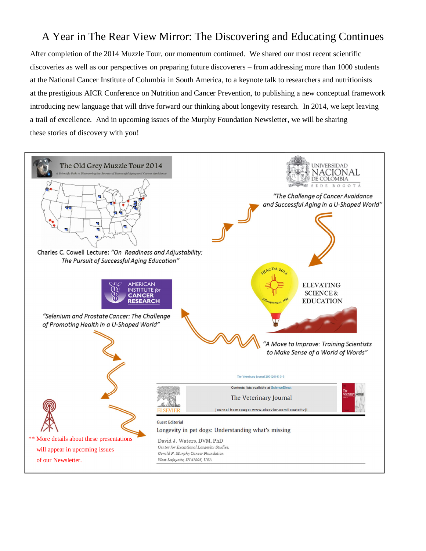## A Year in The Rear View Mirror: The Discovering and Educating Continues

After completion of the 2014 Muzzle Tour, our momentum continued. We shared our most recent scientific discoveries as well as our perspectives on preparing future discoverers – from addressing more than 1000 students at the National Cancer Institute of Columbia in South America, to a keynote talk to researchers and nutritionists at the prestigious AICR Conference on Nutrition and Cancer Prevention, to publishing a new conceptual framework introducing new language that will drive forward our thinking about longevity research. In 2014, we kept leaving a trail of excellence. And in upcoming issues of the Murphy Foundation Newsletter, we will be sharing these stories of discovery with you!